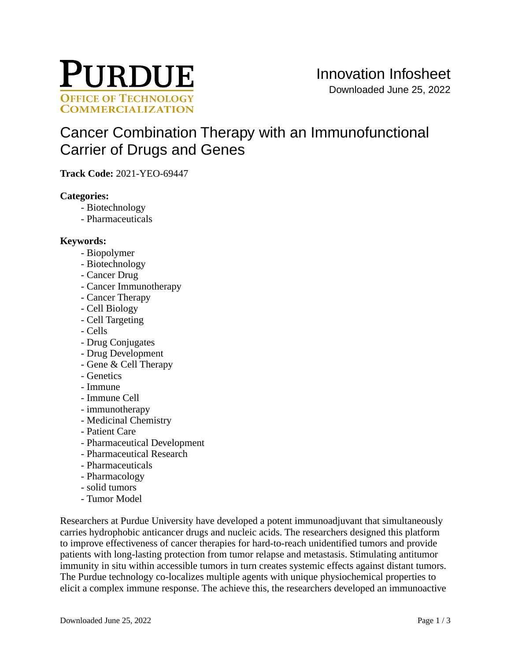

# [Cancer Combination Therapy with an Immunofunctional](https://inventions.prf.org/innovation/8058)  [Carrier of Drugs and Genes](https://inventions.prf.org/innovation/8058)

**Track Code:** 2021-YEO-69447

#### **Categories:**

- Biotechnology
- Pharmaceuticals

### **Keywords:**

- Biopolymer
- Biotechnology
- Cancer Drug
- Cancer Immunotherapy
- Cancer Therapy
- Cell Biology
- Cell Targeting
- Cells
- Drug Conjugates
- Drug Development
- Gene & Cell Therapy
- Genetics
- Immune
- Immune Cell
- immunotherapy
- Medicinal Chemistry
- Patient Care
- Pharmaceutical Development
- Pharmaceutical Research
- Pharmaceuticals
- Pharmacology
- solid tumors
- Tumor Model

Researchers at Purdue University have developed a potent immunoadjuvant that simultaneously carries hydrophobic anticancer drugs and nucleic acids. The researchers designed this platform to improve effectiveness of cancer therapies for hard-to-reach unidentified tumors and provide patients with long-lasting protection from tumor relapse and metastasis. Stimulating antitumor immunity in situ within accessible tumors in turn creates systemic effects against distant tumors. The Purdue technology co-localizes multiple agents with unique physiochemical properties to elicit a complex immune response. The achieve this, the researchers developed an immunoactive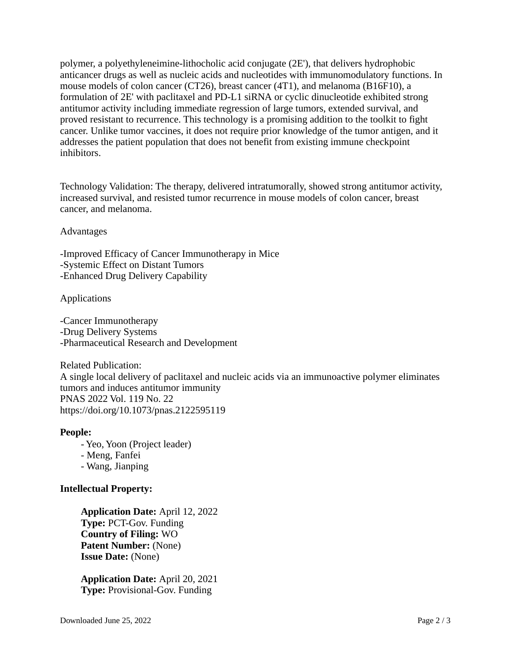polymer, a polyethyleneimine-lithocholic acid conjugate (2E'), that delivers hydrophobic anticancer drugs as well as nucleic acids and nucleotides with immunomodulatory functions. In mouse models of colon cancer (CT26), breast cancer (4T1), and melanoma (B16F10), a formulation of 2E' with paclitaxel and PD-L1 siRNA or cyclic dinucleotide exhibited strong antitumor activity including immediate regression of large tumors, extended survival, and proved resistant to recurrence. This technology is a promising addition to the toolkit to fight cancer. Unlike tumor vaccines, it does not require prior knowledge of the tumor antigen, and it addresses the patient population that does not benefit from existing immune checkpoint inhibitors.

Technology Validation: The therapy, delivered intratumorally, showed strong antitumor activity, increased survival, and resisted tumor recurrence in mouse models of colon cancer, breast cancer, and melanoma.

Advantages

-Improved Efficacy of Cancer Immunotherapy in Mice -Systemic Effect on Distant Tumors -Enhanced Drug Delivery Capability

Applications

-Cancer Immunotherapy -Drug Delivery Systems -Pharmaceutical Research and Development

Related Publication: A single local delivery of paclitaxel and nucleic acids via an immunoactive polymer eliminates tumors and induces antitumor immunity PNAS 2022 Vol. 119 No. 22 <https://doi.org/10.1073/pnas.2122595119>

#### **People:**

- Yeo, Yoon (Project leader)

- Meng, Fanfei

- Wang, Jianping

## **Intellectual Property:**

**Application Date:** April 12, 2022 **Type:** PCT-Gov. Funding **Country of Filing:** WO **Patent Number:** (None) **Issue Date:** (None)

**Application Date:** April 20, 2021 **Type:** Provisional-Gov. Funding